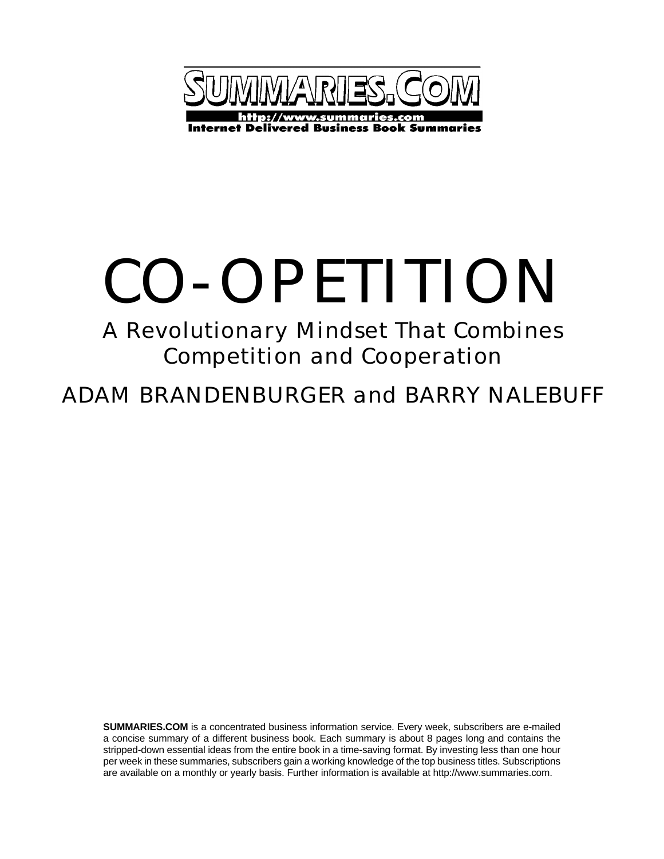

# CO-OPETITION

## A Revolutionary Mindset That Combines Competition and Cooperation

ADAM BRANDENBURGER and BARRY NALEBUFF

**SUMMARIES.COM** is a concentrated business information service. Every week, subscribers are e-mailed a concise summary of a different business book. Each summary is about 8 pages long and contains the stripped-down essential ideas from the entire book in a time-saving format. By investing less than one hour per week in these summaries, subscribers gain a working knowledge of the top business titles. Subscriptions are available on a monthly or yearly basis. Further information is available at http://www.summaries.com.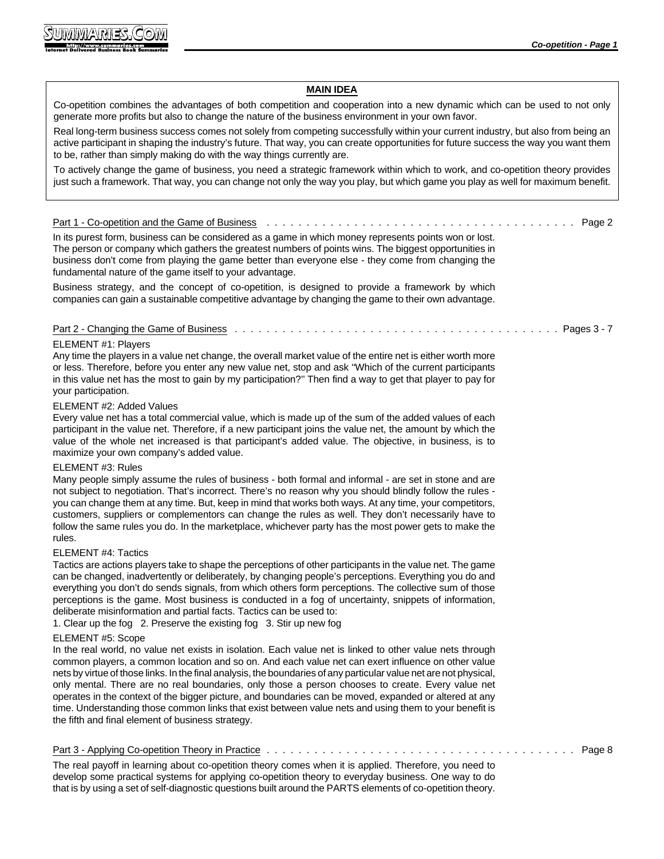| <b>MAIN IDEA</b>                                                                                                                                                                                                                                                                                                                                                                                                                                                                                                                                                                                                                                                                                                                         |
|------------------------------------------------------------------------------------------------------------------------------------------------------------------------------------------------------------------------------------------------------------------------------------------------------------------------------------------------------------------------------------------------------------------------------------------------------------------------------------------------------------------------------------------------------------------------------------------------------------------------------------------------------------------------------------------------------------------------------------------|
| Co-opetition combines the advantages of both competition and cooperation into a new dynamic which can be used to not only<br>generate more profits but also to change the nature of the business environment in your own favor.                                                                                                                                                                                                                                                                                                                                                                                                                                                                                                          |
| Real long-term business success comes not solely from competing successfully within your current industry, but also from being an<br>active participant in shaping the industry's future. That way, you can create opportunities for future success the way you want them<br>to be, rather than simply making do with the way things currently are.                                                                                                                                                                                                                                                                                                                                                                                      |
| To actively change the game of business, you need a strategic framework within which to work, and co-opetition theory provides<br>just such a framework. That way, you can change not only the way you play, but which game you play as well for maximum benefit.                                                                                                                                                                                                                                                                                                                                                                                                                                                                        |
| <u>Part 1 - Co-opetition and the Game of Business</u><br>Page 2                                                                                                                                                                                                                                                                                                                                                                                                                                                                                                                                                                                                                                                                          |
| In its purest form, business can be considered as a game in which money represents points won or lost.<br>The person or company which gathers the greatest numbers of points wins. The biggest opportunities in<br>business don't come from playing the game better than everyone else - they come from changing the<br>fundamental nature of the game itself to your advantage.                                                                                                                                                                                                                                                                                                                                                         |
| Business strategy, and the concept of co-opetition, is designed to provide a framework by which<br>companies can gain a sustainable competitive advantage by changing the game to their own advantage.                                                                                                                                                                                                                                                                                                                                                                                                                                                                                                                                   |
| <u>Part 2 - Changing the Game of Business</u><br>Pages $3 - 7$                                                                                                                                                                                                                                                                                                                                                                                                                                                                                                                                                                                                                                                                           |
| ELEMENT #1: Players<br>Any time the players in a value net change, the overall market value of the entire net is either worth more<br>or less. Therefore, before you enter any new value net, stop and ask "Which of the current participants<br>in this value net has the most to gain by my participation?" Then find a way to get that player to pay for<br>your participation.                                                                                                                                                                                                                                                                                                                                                       |
| ELEMENT #2: Added Values                                                                                                                                                                                                                                                                                                                                                                                                                                                                                                                                                                                                                                                                                                                 |
| Every value net has a total commercial value, which is made up of the sum of the added values of each<br>participant in the value net. Therefore, if a new participant joins the value net, the amount by which the<br>value of the whole net increased is that participant's added value. The objective, in business, is to<br>maximize your own company's added value.                                                                                                                                                                                                                                                                                                                                                                 |
| ELEMENT #3: Rules<br>Many people simply assume the rules of business - both formal and informal - are set in stone and are<br>not subject to negotiation. That's incorrect. There's no reason why you should blindly follow the rules -<br>you can change them at any time. But, keep in mind that works both ways. At any time, your competitors,<br>customers, suppliers or complementors can change the rules as well. They don't necessarily have to<br>follow the same rules you do. In the marketplace, whichever party has the most power gets to make the<br>rules.                                                                                                                                                              |
| ELEMENT #4: Tactics<br>Tactics are actions players take to shape the perceptions of other participants in the value net. The game<br>can be changed, inadvertently or deliberately, by changing people's perceptions. Everything you do and<br>everything you don't do sends signals, from which others form perceptions. The collective sum of those<br>perceptions is the game. Most business is conducted in a fog of uncertainty, snippets of information,<br>deliberate misinformation and partial facts. Tactics can be used to:<br>1. Clear up the fog 2. Preserve the existing fog 3. Stir up new fog                                                                                                                            |
| ELEMENT #5: Scope<br>In the real world, no value net exists in isolation. Each value net is linked to other value nets through<br>common players, a common location and so on. And each value net can exert influence on other value<br>nets by virtue of those links. In the final analysis, the boundaries of any particular value net are not physical,<br>only mental. There are no real boundaries, only those a person chooses to create. Every value net<br>operates in the context of the bigger picture, and boundaries can be moved, expanded or altered at any<br>time. Understanding those common links that exist between value nets and using them to your benefit is<br>the fifth and final element of business strategy. |
| Page 8                                                                                                                                                                                                                                                                                                                                                                                                                                                                                                                                                                                                                                                                                                                                   |
| The real payoff in learning about co-opetition theory comes when it is applied. Therefore, you need to                                                                                                                                                                                                                                                                                                                                                                                                                                                                                                                                                                                                                                   |

develop some practical systems for applying co-opetition theory to everyday business. One way to do that is by using a set of self-diagnostic questions built around the PARTS elements of co-opetition theory.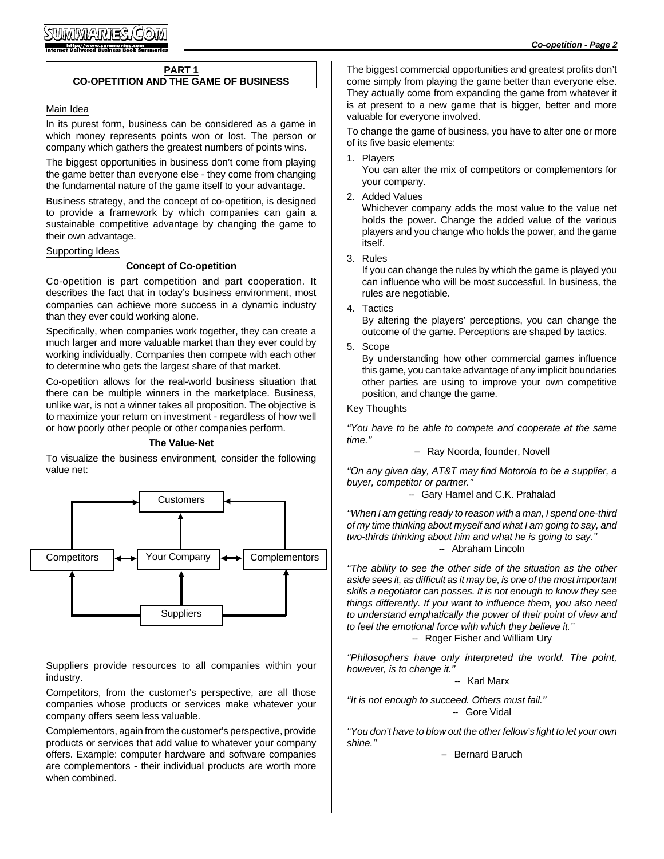#### **PART 1 CO-OPETITION AND THE GAME OF BUSINESS**

#### Main Idea

In its purest form, business can be considered as a game in which money represents points won or lost. The person or company which gathers the greatest numbers of points wins.

The biggest opportunities in business don't come from playing the game better than everyone else - they come from changing the fundamental nature of the game itself to your advantage.

Business strategy, and the concept of co-opetition, is designed to provide a framework by which companies can gain a sustainable competitive advantage by changing the game to their own advantage.

#### Supporting Ideas

#### **Concept of Co-opetition**

Co-opetition is part competition and part cooperation. It describes the fact that in today's business environment, most companies can achieve more success in a dynamic industry than they ever could working alone.

Specifically, when companies work together, they can create a much larger and more valuable market than they ever could by working individually. Companies then compete with each other to determine who gets the largest share of that market.

Co-opetition allows for the real-world business situation that there can be multiple winners in the marketplace. Business, unlike war, is not a winner takes all proposition. The objective is to maximize your return on investment - regardless of how well or how poorly other people or other companies perform.

#### **The Value-Net**

To visualize the business environment, consider the following value net:



Suppliers provide resources to all companies within your industry.

Competitors, from the customer's perspective, are all those companies whose products or services make whatever your company offers seem less valuable.

Complementors, again from the customer's perspective, provide products or services that add value to whatever your company offers. Example: computer hardware and software companies are complementors - their individual products are worth more when combined.

The biggest commercial opportunities and greatest profits don't come simply from playing the game better than everyone else. They actually come from expanding the game from whatever it is at present to a new game that is bigger, better and more valuable for everyone involved.

To change the game of business, you have to alter one or more of its five basic elements:

1. Players

You can alter the mix of competitors or complementors for your company.

2. Added Values

Whichever company adds the most value to the value net holds the power. Change the added value of the various players and you change who holds the power, and the game itself.

3. Rules

If you can change the rules by which the game is played you can influence who will be most successful. In business, the rules are negotiable.

4. Tactics

By altering the players' perceptions, you can change the outcome of the game. Perceptions are shaped by tactics.

5. Scope

By understanding how other commercial games influence this game, you can take advantage of any implicit boundaries other parties are using to improve your own competitive position, and change the game.

#### Key Thoughts

*''You have to be able to compete and cooperate at the same time.''*

- Ray Noorda, founder, Novell

*''On any given day, AT&T may find Motorola to be a supplier, a buyer, competitor or partner.''*

#### -- Gary Hamel and C.K. Prahalad

*''When I am getting ready to reason with a man, I spend one-third of my time thinking about myself and what I am going to say, and two-thirds thinking about him and what he is going to say.''* -- Abraham Lincoln

*''The ability to see the other side of the situation as the other aside sees it, as difficult as it may be, is one of the most important skills a negotiator can posses. It is not enough to know they see things differently. If you want to influence them, you also need to understand emphatically the power of their point of view and to feel the emotional force with which they believe it.''*

- Roger Fisher and William Ury

*''Philosophers have only interpreted the world. The point, however, is to change it.''*

-- Karl Marx

*''It is not enough to succeed. Others must fail.''* - Gore Vidal

*''You don't have to blow out the other fellow's light to let your own shine.''*

-- Bernard Baruch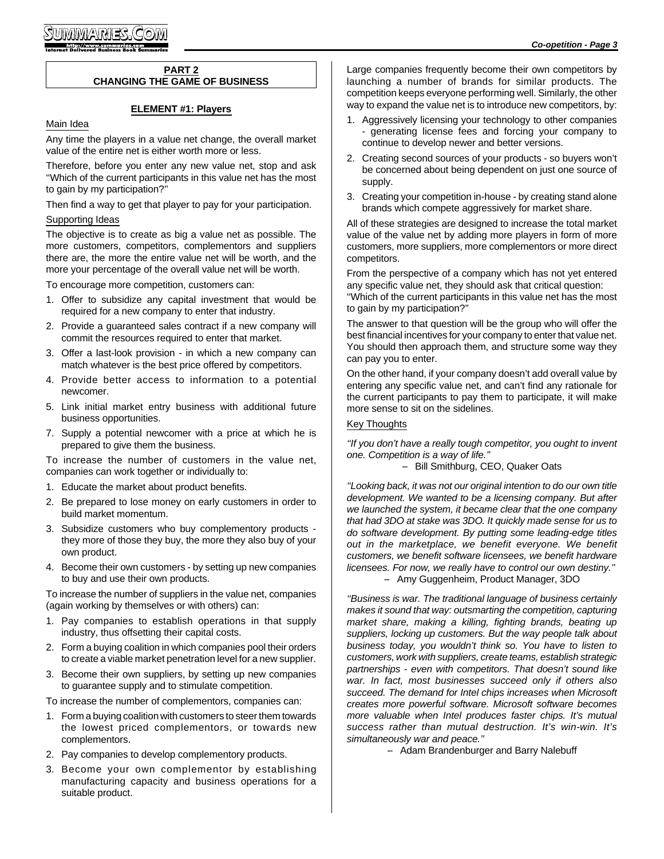#### **PART 2 CHANGING THE GAME OF BUSINESS**

#### **ELEMENT #1: Players**

#### Main Idea

Any time the players in a value net change, the overall market value of the entire net is either worth more or less.

Therefore, before you enter any new value net, stop and ask ''Which of the current participants in this value net has the most to gain by my participation?''

Then find a way to get that player to pay for your participation.

#### Supporting Ideas

The objective is to create as big a value net as possible. The more customers, competitors, complementors and suppliers there are, the more the entire value net will be worth, and the more your percentage of the overall value net will be worth.

To encourage more competition, customers can:

- 1. Offer to subsidize any capital investment that would be required for a new company to enter that industry.
- 2. Provide a guaranteed sales contract if a new company will commit the resources required to enter that market.
- 3. Offer a last-look provision in which a new company can match whatever is the best price offered by competitors.
- 4. Provide better access to information to a potential newcomer.
- 5. Link initial market entry business with additional future business opportunities.
- 7. Supply a potential newcomer with a price at which he is prepared to give them the business.

To increase the number of customers in the value net, companies can work together or individually to:

- 1. Educate the market about product benefits.
- 2. Be prepared to lose money on early customers in order to build market momentum.
- 3. Subsidize customers who buy complementory products they more of those they buy, the more they also buy of your own product.
- 4. Become their own customers by setting up new companies to buy and use their own products.

To increase the number of suppliers in the value net, companies (again working by themselves or with others) can:

- 1. Pay companies to establish operations in that supply industry, thus offsetting their capital costs.
- 2. Form a buying coalition in which companies pool their orders to create a viable market penetration level for a new supplier.
- 3. Become their own suppliers, by setting up new companies to guarantee supply and to stimulate competition.

To increase the number of complementors, companies can:

- 1. Form a buying coalition with customers to steer them towards the lowest priced complementors, or towards new complementors.
- 2. Pay companies to develop complementory products.
- 3. Become your own complementor by establishing manufacturing capacity and business operations for a suitable product.

Large companies frequently become their own competitors by launching a number of brands for similar products. The competition keeps everyone performing well. Similarly, the other way to expand the value net is to introduce new competitors, by:

- 1. Aggressively licensing your technology to other companies generating license fees and forcing your company to continue to develop newer and better versions.
- 2. Creating second sources of your products so buyers won't be concerned about being dependent on just one source of supply.
- 3. Creating your competition in-house by creating stand alone brands which compete aggressively for market share.

All of these strategies are designed to increase the total market value of the value net by adding more players in form of more customers, more suppliers, more complementors or more direct competitors.

From the perspective of a company which has not yet entered any specific value net, they should ask that critical question:

''Which of the current participants in this value net has the most to gain by my participation?''

The answer to that question will be the group who will offer the best financial incentives for your company to enter that value net. You should then approach them, and structure some way they can pay you to enter.

On the other hand, if your company doesn't add overall value by entering any specific value net, and can't find any rationale for the current participants to pay them to participate, it will make more sense to sit on the sidelines.

#### Key Thoughts

*''If you don't have a really tough competitor, you ought to invent one. Competition is a way of life.''*

- Bill Smithburg, CEO, Quaker Oats

*''Looking back, it was not our original intention to do our own title development. We wanted to be a licensing company. But after we launched the system, it became clear that the one company that had 3DO at stake was 3DO. It quickly made sense for us to do software development. By putting some leading-edge titles out in the marketplace, we benefit everyone. We benefit customers, we benefit software licensees, we benefit hardware licensees. For now, we really have to control our own destiny.''*

-- Amy Guggenheim, Product Manager, 3DO

*''Business is war. The traditional language of business certainly makes it sound that way: outsmarting the competition, capturing market share, making a killing, fighting brands, beating up suppliers, locking up customers. But the way people talk about business today, you wouldn't think so. You have to listen to customers, work with suppliers, create teams, establish strategic partnerships - even with competitors. That doesn't sound like war. In fact, most businesses succeed only if others also succeed. The demand for Intel chips increases when Microsoft creates more powerful software. Microsoft software becomes more valuable when Intel produces faster chips. It's mutual success rather than mutual destruction. It's win-win. It's simultaneously war and peace.''*

-- Adam Brandenburger and Barry Nalebuff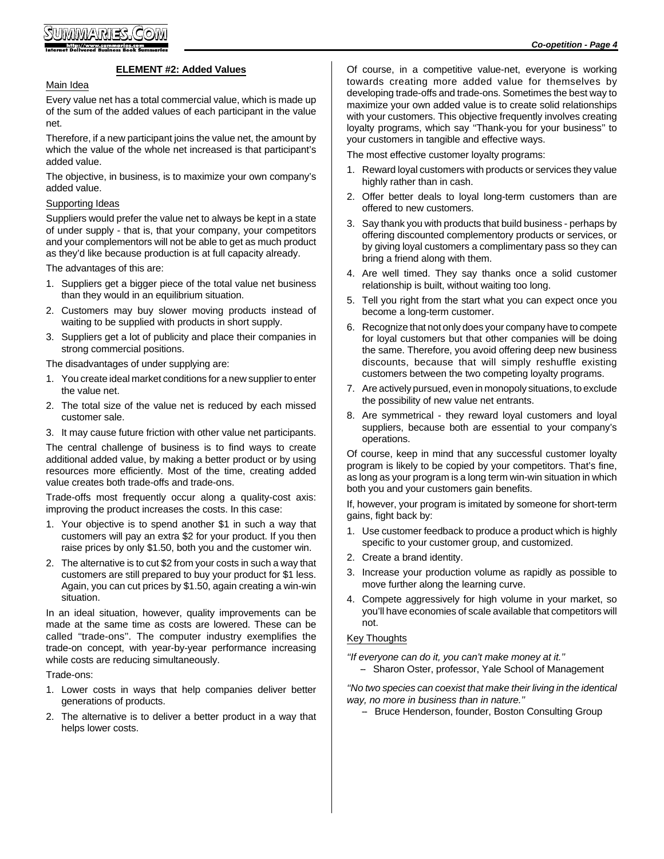#### **ELEMENT #2: Added Values**

#### Main Idea

Every value net has a total commercial value, which is made up of the sum of the added values of each participant in the value net.

Therefore, if a new participant joins the value net, the amount by which the value of the whole net increased is that participant's added value.

The objective, in business, is to maximize your own company's added value.

#### Supporting Ideas

Suppliers would prefer the value net to always be kept in a state of under supply - that is, that your company, your competitors and your complementors will not be able to get as much product as they'd like because production is at full capacity already.

The advantages of this are:

- 1. Suppliers get a bigger piece of the total value net business than they would in an equilibrium situation.
- 2. Customers may buy slower moving products instead of waiting to be supplied with products in short supply.
- 3. Suppliers get a lot of publicity and place their companies in strong commercial positions.

The disadvantages of under supplying are:

- 1. You create ideal market conditions for a new supplier to enter the value net.
- 2. The total size of the value net is reduced by each missed customer sale.
- 3. It may cause future friction with other value net participants.

The central challenge of business is to find ways to create additional added value, by making a better product or by using resources more efficiently. Most of the time, creating added value creates both trade-offs and trade-ons.

Trade-offs most frequently occur along a quality-cost axis: improving the product increases the costs. In this case:

- 1. Your objective is to spend another \$1 in such a way that customers will pay an extra \$2 for your product. If you then raise prices by only \$1.50, both you and the customer win.
- 2. The alternative is to cut \$2 from your costs in such a way that customers are still prepared to buy your product for \$1 less. Again, you can cut prices by \$1.50, again creating a win-win situation.

In an ideal situation, however, quality improvements can be made at the same time as costs are lowered. These can be called ''trade-ons''. The computer industry exemplifies the trade-on concept, with year-by-year performance increasing while costs are reducing simultaneously.

Trade-ons:

- 1. Lower costs in ways that help companies deliver better generations of products.
- 2. The alternative is to deliver a better product in a way that helps lower costs.

Of course, in a competitive value-net, everyone is working towards creating more added value for themselves by developing trade-offs and trade-ons. Sometimes the best way to maximize your own added value is to create solid relationships with your customers. This objective frequently involves creating loyalty programs, which say ''Thank-you for your business'' to your customers in tangible and effective ways.

The most effective customer loyalty programs:

- 1. Reward loyal customers with products or services they value highly rather than in cash.
- 2. Offer better deals to loyal long-term customers than are offered to new customers.
- 3. Say thank you with products that build business perhaps by offering discounted complementory products or services, or by giving loyal customers a complimentary pass so they can bring a friend along with them.
- 4. Are well timed. They say thanks once a solid customer relationship is built, without waiting too long.
- 5. Tell you right from the start what you can expect once you become a long-term customer.
- 6. Recognize that not only does your company have to compete for loyal customers but that other companies will be doing the same. Therefore, you avoid offering deep new business discounts, because that will simply reshuffle existing customers between the two competing loyalty programs.
- 7. Are actively pursued, even in monopoly situations, to exclude the possibility of new value net entrants.
- 8. Are symmetrical they reward loyal customers and loyal suppliers, because both are essential to your company's operations.

Of course, keep in mind that any successful customer loyalty program is likely to be copied by your competitors. That's fine, as long as your program is a long term win-win situation in which both you and your customers gain benefits.

If, however, your program is imitated by someone for short-term gains, fight back by:

- 1. Use customer feedback to produce a product which is highly specific to your customer group, and customized.
- 2. Create a brand identity.
- 3. Increase your production volume as rapidly as possible to move further along the learning curve.
- 4. Compete aggressively for high volume in your market, so you'll have economies of scale available that competitors will not.

#### Key Thoughts

*''If everyone can do it, you can't make money at it.''*

-- Sharon Oster, professor, Yale School of Management

*''No two species can coexist that make their living in the identical way, no more in business than in nature.''*

- Bruce Henderson, founder, Boston Consulting Group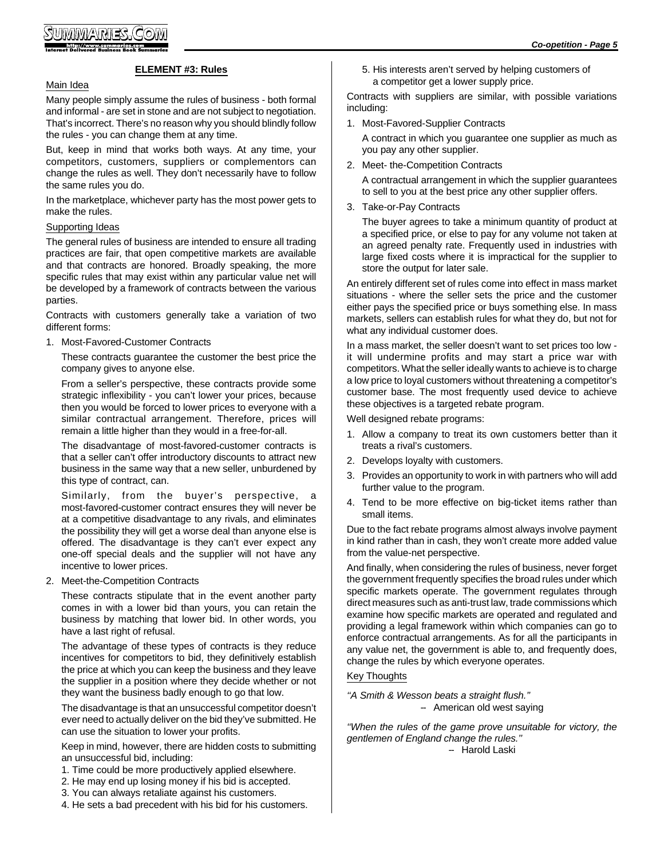#### **ELEMENT #3: Rules**

#### Main Idea

Many people simply assume the rules of business - both formal and informal - are set in stone and are not subject to negotiation. That's incorrect. There's no reason why you should blindly follow the rules - you can change them at any time.

But, keep in mind that works both ways. At any time, your competitors, customers, suppliers or complementors can change the rules as well. They don't necessarily have to follow the same rules you do.

In the marketplace, whichever party has the most power gets to make the rules.

#### Supporting Ideas

The general rules of business are intended to ensure all trading practices are fair, that open competitive markets are available and that contracts are honored. Broadly speaking, the more specific rules that may exist within any particular value net will be developed by a framework of contracts between the various parties.

Contracts with customers generally take a variation of two different forms:

1. Most-Favored-Customer Contracts

These contracts guarantee the customer the best price the company gives to anyone else.

From a seller's perspective, these contracts provide some strategic inflexibility - you can't lower your prices, because then you would be forced to lower prices to everyone with a similar contractual arrangement. Therefore, prices will remain a little higher than they would in a free-for-all.

The disadvantage of most-favored-customer contracts is that a seller can't offer introductory discounts to attract new business in the same way that a new seller, unburdened by this type of contract, can.

Similarly, from the buyer's perspective, a most-favored-customer contract ensures they will never be at a competitive disadvantage to any rivals, and eliminates the possibility they will get a worse deal than anyone else is offered. The disadvantage is they can't ever expect any one-off special deals and the supplier will not have any incentive to lower prices.

2. Meet-the-Competition Contracts

These contracts stipulate that in the event another party comes in with a lower bid than yours, you can retain the business by matching that lower bid. In other words, you have a last right of refusal.

The advantage of these types of contracts is they reduce incentives for competitors to bid, they definitively establish the price at which you can keep the business and they leave the supplier in a position where they decide whether or not they want the business badly enough to go that low.

The disadvantage is that an unsuccessful competitor doesn't ever need to actually deliver on the bid they've submitted. He can use the situation to lower your profits.

Keep in mind, however, there are hidden costs to submitting an unsuccessful bid, including:

- 1. Time could be more productively applied elsewhere.
- 2. He may end up losing money if his bid is accepted.
- 3. You can always retaliate against his customers.
- 4. He sets a bad precedent with his bid for his customers.

5. His interests aren't served by helping customers of a competitor get a lower supply price.

Contracts with suppliers are similar, with possible variations including:

1. Most-Favored-Supplier Contracts

A contract in which you guarantee one supplier as much as you pay any other supplier.

2. Meet- the-Competition Contracts

A contractual arrangement in which the supplier guarantees to sell to you at the best price any other supplier offers.

3. Take-or-Pay Contracts

The buyer agrees to take a minimum quantity of product at a specified price, or else to pay for any volume not taken at an agreed penalty rate. Frequently used in industries with large fixed costs where it is impractical for the supplier to store the output for later sale.

An entirely different set of rules come into effect in mass market situations - where the seller sets the price and the customer either pays the specified price or buys something else. In mass markets, sellers can establish rules for what they do, but not for what any individual customer does.

In a mass market, the seller doesn't want to set prices too low it will undermine profits and may start a price war with competitors. What the seller ideally wants to achieve is to charge a low price to loyal customers without threatening a competitor's customer base. The most frequently used device to achieve these objectives is a targeted rebate program.

Well designed rebate programs:

- 1. Allow a company to treat its own customers better than it treats a rival's customers.
- 2. Develops loyalty with customers.
- 3. Provides an opportunity to work in with partners who will add further value to the program.
- 4. Tend to be more effective on big-ticket items rather than small items.

Due to the fact rebate programs almost always involve payment in kind rather than in cash, they won't create more added value from the value-net perspective.

And finally, when considering the rules of business, never forget the government frequently specifies the broad rules under which specific markets operate. The government regulates through direct measures such as anti-trust law, trade commissions which examine how specific markets are operated and regulated and providing a legal framework within which companies can go to enforce contractual arrangements. As for all the participants in any value net, the government is able to, and frequently does, change the rules by which everyone operates.

#### Key Thoughts

*''A Smith & Wesson beats a straight flush.''* - American old west saying

*''When the rules of the game prove unsuitable for victory, the gentlemen of England change the rules.''*

- Harold Laski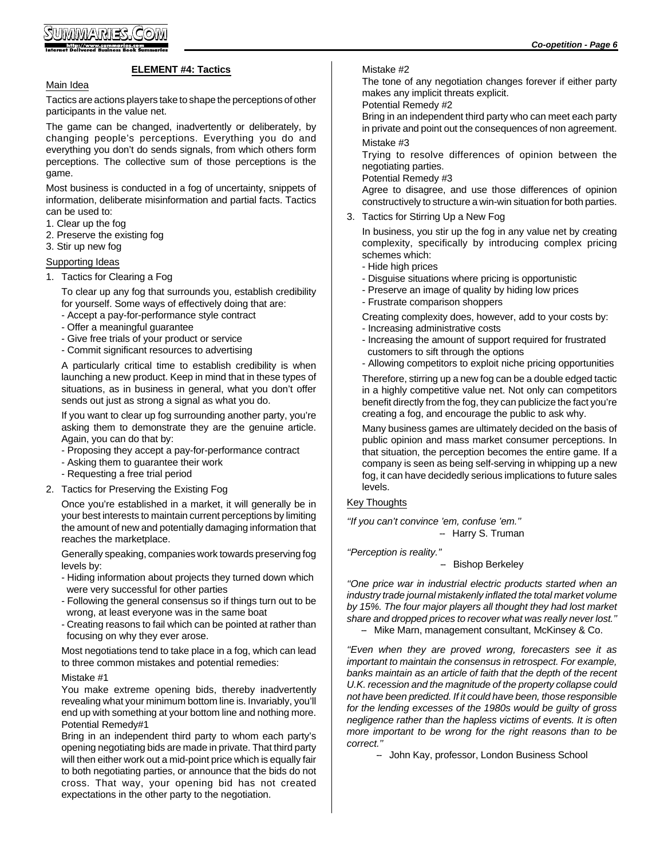#### **ELEMENT #4: Tactics**

#### Main Idea

Tactics are actions players take to shape the perceptions of other participants in the value net.

The game can be changed, inadvertently or deliberately, by changing people's perceptions. Everything you do and everything you don't do sends signals, from which others form perceptions. The collective sum of those perceptions is the game.

Most business is conducted in a fog of uncertainty, snippets of information, deliberate misinformation and partial facts. Tactics can be used to:

- 1. Clear up the fog
- 2. Preserve the existing fog
- 3. Stir up new fog

#### Supporting Ideas

1. Tactics for Clearing a Fog

To clear up any fog that surrounds you, establish credibility for yourself. Some ways of effectively doing that are:

- Accept a pay-for-performance style contract
- Offer a meaningful guarantee
- Give free trials of your product or service
- Commit significant resources to advertising

A particularly critical time to establish credibility is when launching a new product. Keep in mind that in these types of situations, as in business in general, what you don't offer sends out just as strong a signal as what you do.

If you want to clear up fog surrounding another party, you're asking them to demonstrate they are the genuine article. Again, you can do that by:

- Proposing they accept a pay-for-performance contract
- Asking them to guarantee their work
- Requesting a free trial period
- 2. Tactics for Preserving the Existing Fog

Once you're established in a market, it will generally be in your best interests to maintain current perceptions by limiting the amount of new and potentially damaging information that reaches the marketplace.

Generally speaking, companies work towards preserving fog levels by:

- Hiding information about projects they turned down which were very successful for other parties
- Following the general consensus so if things turn out to be wrong, at least everyone was in the same boat
- Creating reasons to fail which can be pointed at rather than focusing on why they ever arose.

Most negotiations tend to take place in a fog, which can lead to three common mistakes and potential remedies:

#### Mistake #1

You make extreme opening bids, thereby inadvertently revealing what your minimum bottom line is. Invariably, you'll end up with something at your bottom line and nothing more. Potential Remedy#1

Bring in an independent third party to whom each party's opening negotiating bids are made in private. That third party will then either work out a mid-point price which is equally fair to both negotiating parties, or announce that the bids do not cross. That way, your opening bid has not created expectations in the other party to the negotiation.

#### Mistake #2

The tone of any negotiation changes forever if either party makes any implicit threats explicit.

#### Potential Remedy #2

Bring in an independent third party who can meet each party in private and point out the consequences of non agreement. Mistake #3

Trying to resolve differences of opinion between the negotiating parties.

Potential Remedy #3

Agree to disagree, and use those differences of opinion constructively to structure a win-win situation for both parties.

3. Tactics for Stirring Up a New Fog

In business, you stir up the fog in any value net by creating complexity, specifically by introducing complex pricing schemes which:

- Hide high prices
- Disguise situations where pricing is opportunistic
- Preserve an image of quality by hiding low prices
- Frustrate comparison shoppers

Creating complexity does, however, add to your costs by:

- Increasing administrative costs
- Increasing the amount of support required for frustrated customers to sift through the options
- Allowing competitors to exploit niche pricing opportunities

Therefore, stirring up a new fog can be a double edged tactic in a highly competitive value net. Not only can competitors benefit directly from the fog, they can publicize the fact you're creating a fog, and encourage the public to ask why.

Many business games are ultimately decided on the basis of public opinion and mass market consumer perceptions. In that situation, the perception becomes the entire game. If a company is seen as being self-serving in whipping up a new fog, it can have decidedly serious implications to future sales levels.

#### Key Thoughts

*''If you can't convince 'em, confuse 'em.''* -- Harry S. Truman

*''Perception is reality.''*

#### -- Bishop Berkeley

*''One price war in industrial electric products started when an industry trade journal mistakenly inflated the total market volume by 15%. The four major players all thought they had lost market share and dropped prices to recover what was really never lost.''*

-- Mike Marn, management consultant, McKinsey & Co.

*''Even when they are proved wrong, forecasters see it as important to maintain the consensus in retrospect. For example, banks maintain as an article of faith that the depth of the recent U.K. recession and the magnitude of the property collapse could not have been predicted. If it could have been, those responsible for the lending excesses of the 1980s would be guilty of gross negligence rather than the hapless victims of events. It is often more important to be wrong for the right reasons than to be correct.''*

-- John Kay, professor, London Business School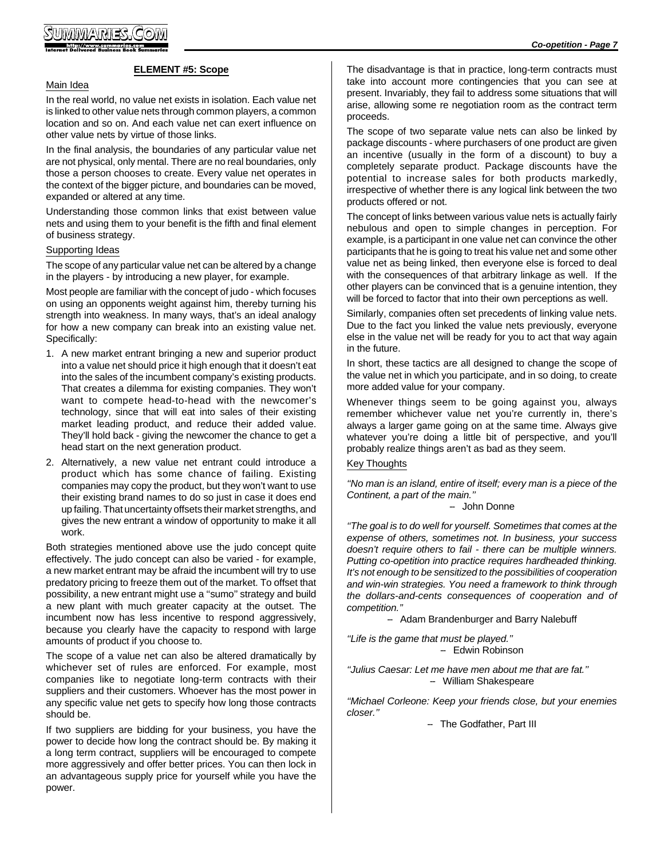#### **ELEMENT #5: Scope**

#### Main Idea

In the real world, no value net exists in isolation. Each value net is linked to other value nets through common players, a common location and so on. And each value net can exert influence on other value nets by virtue of those links.

In the final analysis, the boundaries of any particular value net are not physical, only mental. There are no real boundaries, only those a person chooses to create. Every value net operates in the context of the bigger picture, and boundaries can be moved, expanded or altered at any time.

Understanding those common links that exist between value nets and using them to your benefit is the fifth and final element of business strategy.

#### Supporting Ideas

The scope of any particular value net can be altered by a change in the players - by introducing a new player, for example.

Most people are familiar with the concept of judo - which focuses on using an opponents weight against him, thereby turning his strength into weakness. In many ways, that's an ideal analogy for how a new company can break into an existing value net. Specifically:

- 1. A new market entrant bringing a new and superior product into a value net should price it high enough that it doesn't eat into the sales of the incumbent company's existing products. That creates a dilemma for existing companies. They won't want to compete head-to-head with the newcomer's technology, since that will eat into sales of their existing market leading product, and reduce their added value. They'll hold back - giving the newcomer the chance to get a head start on the next generation product.
- 2. Alternatively, a new value net entrant could introduce a product which has some chance of failing. Existing companies may copy the product, but they won't want to use their existing brand names to do so just in case it does end up failing. That uncertainty offsets their market strengths, and gives the new entrant a window of opportunity to make it all work.

Both strategies mentioned above use the judo concept quite effectively. The judo concept can also be varied - for example, a new market entrant may be afraid the incumbent will try to use predatory pricing to freeze them out of the market. To offset that possibility, a new entrant might use a ''sumo'' strategy and build a new plant with much greater capacity at the outset. The incumbent now has less incentive to respond aggressively, because you clearly have the capacity to respond with large amounts of product if you choose to.

The scope of a value net can also be altered dramatically by whichever set of rules are enforced. For example, most companies like to negotiate long-term contracts with their suppliers and their customers. Whoever has the most power in any specific value net gets to specify how long those contracts should be.

If two suppliers are bidding for your business, you have the power to decide how long the contract should be. By making it a long term contract, suppliers will be encouraged to compete more aggressively and offer better prices. You can then lock in an advantageous supply price for yourself while you have the power.

The disadvantage is that in practice, long-term contracts must take into account more contingencies that you can see at present. Invariably, they fail to address some situations that will arise, allowing some re negotiation room as the contract term proceeds.

The scope of two separate value nets can also be linked by package discounts - where purchasers of one product are given an incentive (usually in the form of a discount) to buy a completely separate product. Package discounts have the potential to increase sales for both products markedly, irrespective of whether there is any logical link between the two products offered or not.

The concept of links between various value nets is actually fairly nebulous and open to simple changes in perception. For example, is a participant in one value net can convince the other participants that he is going to treat his value net and some other value net as being linked, then everyone else is forced to deal with the consequences of that arbitrary linkage as well. If the other players can be convinced that is a genuine intention, they will be forced to factor that into their own perceptions as well.

Similarly, companies often set precedents of linking value nets. Due to the fact you linked the value nets previously, everyone else in the value net will be ready for you to act that way again in the future.

In short, these tactics are all designed to change the scope of the value net in which you participate, and in so doing, to create more added value for your company.

Whenever things seem to be going against you, always remember whichever value net you're currently in, there's always a larger game going on at the same time. Always give whatever you're doing a little bit of perspective, and you'll probably realize things aren't as bad as they seem.

#### Key Thoughts

*''No man is an island, entire of itself; every man is a piece of the Continent, a part of the main.''*

#### -- John Donne

*''The goal is to do well for yourself. Sometimes that comes at the expense of others, sometimes not. In business, your success doesn't require others to fail - there can be multiple winners. Putting co-opetition into practice requires hardheaded thinking. It's not enough to be sensitized to the possibilities of cooperation and win-win strategies. You need a framework to think through the dollars-and-cents consequences of cooperation and of competition.''*

-- Adam Brandenburger and Barry Nalebuff

*''Life is the game that must be played.''* - Edwin Robinson

*''Julius Caesar: Let me have men about me that are fat.''* -- William Shakespeare

*''Michael Corleone: Keep your friends close, but your enemies closer.''*

- The Godfather, Part III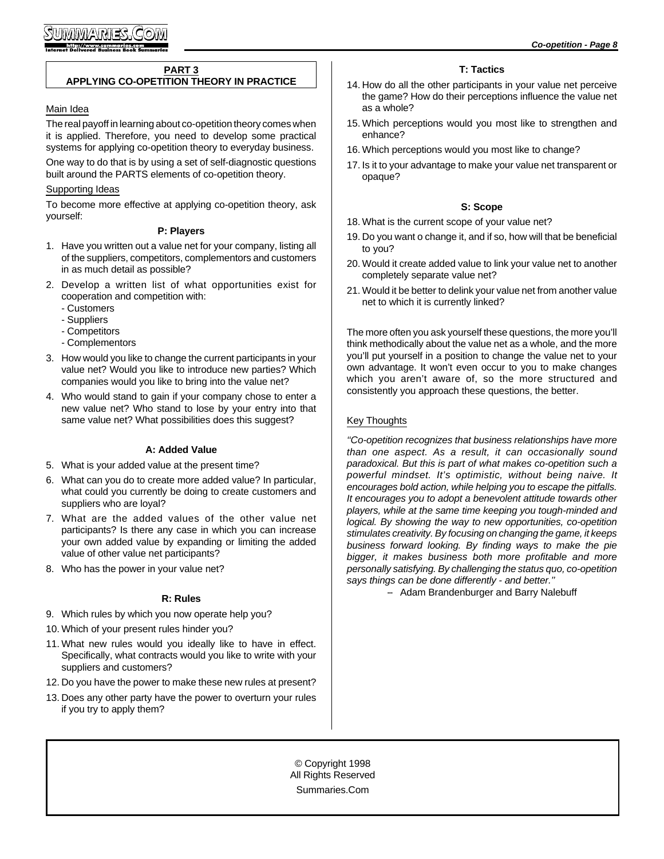#### **PART 3**

#### **APPLYING CO-OPETITION THEORY IN PRACTICE**

#### Main Idea

The real payoff in learning about co-opetition theory comes when it is applied. Therefore, you need to develop some practical systems for applying co-opetition theory to everyday business.

One way to do that is by using a set of self-diagnostic questions built around the PARTS elements of co-opetition theory.

#### Supporting Ideas

To become more effective at applying co-opetition theory, ask yourself:

#### **P: Players**

- 1. Have you written out a value net for your company, listing all of the suppliers, competitors, complementors and customers in as much detail as possible?
- 2. Develop a written list of what opportunities exist for cooperation and competition with:
	- Customers
	- Suppliers
	- Competitors
	- Complementors
- 3. How would you like to change the current participants in your value net? Would you like to introduce new parties? Which companies would you like to bring into the value net?
- 4. Who would stand to gain if your company chose to enter a new value net? Who stand to lose by your entry into that same value net? What possibilities does this suggest?

#### **A: Added Value**

- 5. What is your added value at the present time?
- 6. What can you do to create more added value? In particular, what could you currently be doing to create customers and suppliers who are loyal?
- 7. What are the added values of the other value net participants? Is there any case in which you can increase your own added value by expanding or limiting the added value of other value net participants?
- 8. Who has the power in your value net?

#### **R: Rules**

- 9. Which rules by which you now operate help you?
- 10. Which of your present rules hinder you?
- 11. What new rules would you ideally like to have in effect. Specifically, what contracts would you like to write with your suppliers and customers?
- 12. Do you have the power to make these new rules at present?
- 13. Does any other party have the power to overturn your rules if you try to apply them?

#### **T: Tactics**

- 14. How do all the other participants in your value net perceive the game? How do their perceptions influence the value net as a whole?
- 15. Which perceptions would you most like to strengthen and enhance?
- 16. Which perceptions would you most like to change?
- 17. Is it to your advantage to make your value net transparent or opaque?

#### **S: Scope**

- 18. What is the current scope of your value net?
- 19. Do you want o change it, and if so, how will that be beneficial to you?
- 20. Would it create added value to link your value net to another completely separate value net?
- 21. Would it be better to delink your value net from another value net to which it is currently linked?

The more often you ask yourself these questions, the more you'll think methodically about the value net as a whole, and the more you'll put yourself in a position to change the value net to your own advantage. It won't even occur to you to make changes which you aren't aware of, so the more structured and consistently you approach these questions, the better.

#### Key Thoughts

*''Co-opetition recognizes that business relationships have more than one aspect. As a result, it can occasionally sound paradoxical. But this is part of what makes co-opetition such a powerful mindset. It's optimistic, without being naive. It encourages bold action, while helping you to escape the pitfalls. It encourages you to adopt a benevolent attitude towards other players, while at the same time keeping you tough-minded and logical. By showing the way to new opportunities, co-opetition stimulates creativity. By focusing on changing the game, it keeps business forward looking. By finding ways to make the pie bigger, it makes business both more profitable and more personally satisfying. By challenging the status quo, co-opetition says things can be done differently - and better.''*

-- Adam Brandenburger and Barry Nalebuff

© Copyright 1998 All Rights Reserved Summaries.Com